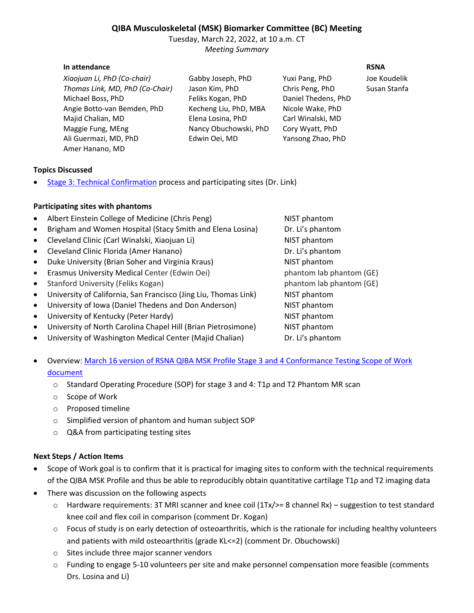# **QIBA Musculoskeletal (MSK) Biomarker Committee (BC) Meeting**

Tuesday, March 22, 2022, at 10 a.m. CT *Meeting Summary*

### **In attendance RSNA**

*Xiaojuan Li, PhD (Co-chair)* Gabby Joseph, PhD Yuxi Pang, PhD Joe Koudelik *Thomas Link, MD, PhD (Co-Chair)* Jason Kim, PhD Chris Peng, PhD Susan Stanfa Michael Boss, PhD Feliks Kogan, PhD Daniel Thedens, PhD Angie Botto-van Bemden, PhD Kecheng Liu, PhD, MBA Nicole Wake, PhD Majid Chalian, MD Elena Losina, PhD Carl Winalski, MD Maggie Fung, MEng Nancy Obuchowski, PhD Cory Wyatt, PhD Ali Guermazi, MD, PhD Edwin Oei, MD Yansong Zhao, PhD Amer Hanano, MD

# **Topics Discussed**

**[Stage 3: Technical Confirmation](http://qibawiki.rsna.org/index.php/QIBA_Profile_Stages#Stage_3:_Technically_Confirmed) process and participating sites (Dr. Link)** 

# **Participating sites with phantoms**

| Albert Einstein College of Medicine (Chris Peng)                | NIST phantom             |
|-----------------------------------------------------------------|--------------------------|
| Brigham and Women Hospital (Stacy Smith and Elena Losina)       | Dr. Li's phantom         |
| Cleveland Clinic (Carl Winalski, Xiaojuan Li)                   | NIST phantom             |
| Cleveland Clinic Florida (Amer Hanano)                          | Dr. Li's phantom         |
| Duke University (Brian Soher and Virginia Kraus)                | NIST phantom             |
| Erasmus University Medical Center (Edwin Oei)                   | phantom lab phantom (GE) |
| Stanford University (Feliks Kogan)                              | phantom lab phantom (GE) |
| University of California, San Francisco (Jing Liu, Thomas Link) | NIST phantom             |
| University of Iowa (Daniel Thedens and Don Anderson)            | NIST phantom             |
| University of Kentucky (Peter Hardy)                            | NIST phantom             |
| University of North Carolina Chapel Hill (Brian Pietrosimone)   | NIST phantom             |
| University of Washington Medical Center (Majid Chalian)         | Dr. Li's phantom         |
|                                                                 |                          |

- Overview: [March 16 version of RSNA QIBA MSK Profile Stage 3 and 4 Conformance Testing Scope of Work](https://drive.google.com/file/d/1tBAmqFaUYhvjMCyfmuaKZgP6GLc3c1wO/view?usp=sharing)  [document](https://drive.google.com/file/d/1tBAmqFaUYhvjMCyfmuaKZgP6GLc3c1wO/view?usp=sharing)
	- o Standard Operating Procedure (SOP) for stage 3 and 4: T1ρ and T2 Phantom MR scan
	- o Scope of Work
	- o Proposed timeline
	- o Simplified version of phantom and human subject SOP
	- o Q&A from participating testing sites

# **Next Steps / Action Items**

- Scope of Work goal is to confirm that it is practical for imaging sites to conform with the technical requirements of the QIBA MSK Profile and thus be able to reproducibly obtain quantitative cartilage T1ρ and T2 imaging data
- There was discussion on the following aspects
	- o Hardware requirements: 3T MRI scanner and knee coil (1Tx/>= 8 channel Rx) suggestion to test standard knee coil and flex coil in comparison (comment Dr. Kogan)
	- $\circ$  Focus of study is on early detection of osteoarthritis, which is the rationale for including healthy volunteers and patients with mild osteoarthritis (grade KL<=2) (comment Dr. Obuchowski)
	- o Sites include three major scanner vendors
	- o Funding to engage 5-10 volunteers per site and make personnel compensation more feasible (comments Drs. Losina and Li)